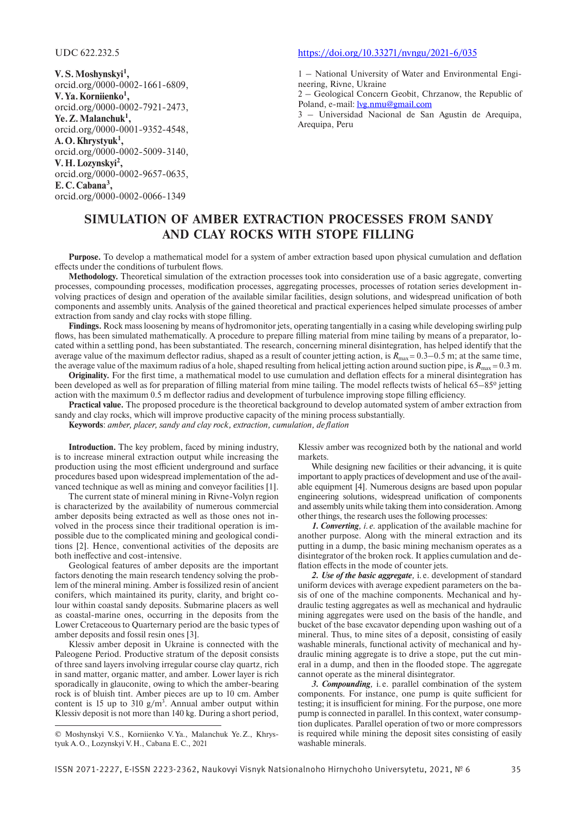**V. S. Moshynskyi1 ,** orcid.org/0000-0002-1661-6809, **V. Ya. Korniienko1 ,** orcid.org/0000-0002-7921-2473, **Ye. Z. Malanchuk1 ,** orcid.org/0000-0001-9352-4548, **A. O. Khrystyuk1 ,** orcid.org/0000-0002-5009-3140, **V. H. Lozynskyi2 ,** orcid.org/0000-0002-9657-0635, **E. C. Cabana3 ,** orcid.org/0000-0002-0066-1349

## UDC 622.232.5 https://doi.org/10.33271/nvngu/2021-6/035

1 – National University of Water and Environmental Engineering, Rivne, Ukraine

2 – Geological Concern Geobit, Chrzanow, the Republic of Poland, e-mail: lvg.nmu@gmail.com

3 – Universidad Nacional de San Agustin de Arequipa, Arequipa, Peru

## **SIMULATION OF AMBER EXTRACTION PROCESSES FROM SANDY AND CLAY ROCKS WITH STOPE FILLING**

**Purpose.** To develop a mathematical model for a system of amber extraction based upon physical cumulation and deflation effects under the conditions of turbulent flows.

**Methodology.** Theoretical simulation of the extraction processes took into consideration use of a basic aggregate, converting processes, compounding processes, modification processes, aggregating processes, processes of rotation series development involving practices of design and operation of the available similar facilities, design solutions, and widespread unification of both components and assembly units. Analysis of the gained theoretical and practical experiences helped simulate processes of amber extraction from sandy and clay rocks with stope filling.

**Findings.** Rock mass loosening by means of hydromonitor jets, operating tangentially in a casing while developing swirling pulp flows, has been simulated mathematically. A procedure to prepare filling material from mine tailing by means of a preparator, located within a settling pond, has been substantiated. The research, concerning mineral disintegration, has helped identify that the average value of the maximum deflector radius, shaped as a result of counter jetting action, is  $R_{\text{max}} = 0.3 - 0.5$  m; at the same time, the average value of the maximum radius of a hole, shaped resulting from helical jetting action around suction pipe, is  $R_{\text{max}} = 0.3$  m.

**Originality.** For the first time, a mathematical model to use cumulation and deflation effects for a mineral disintegration has been developed as well as for preparation of filling material from mine tailing. The model reflects twists of helical 65–85<sup>°</sup> jetting action with the maximum 0.5 m deflector radius and development of turbulence improving stope filling efficiency.

**Practical value.** The proposed procedure is the theoretical background to develop automated system of amber extraction from sandy and clay rocks, which will improve productive capacity of the mining process substantially.

**Keywords**: *amber, placer, sandy and clay rock, extraction, cumulation, defl ation*

**Introduction.** The key problem, faced by mining industry, is to increase mineral extraction output while increasing the production using the most efficient underground and surface procedures based upon widespread implementation of the advanced technique as well as mining and conveyor facilities [1].

The current state of mineral mining in Rivne-Volyn region is characterized by the availability of numerous commercial amber deposits being extracted as well as those ones not involved in the process since their traditional operation is impossible due to the complicated mining and geological conditions [2]. Hence, conventional activities of the deposits are both ineffective and cost-intensive.

Geological features of amber deposits are the important factors denoting the main research tendency solving the problem of the mineral mining. Amber is fossilized resin of ancient conifers, which maintained its purity, clarity, and bright colour within coastal sandy deposits. Submarine placers as well as coastal-marine ones, occurring in the deposits from the Lower Cretaceous to Quarternary period are the basic types of amber deposits and fossil resin ones [3].

Klessiv amber deposit in Ukraine is connected with the Paleogene Period. Productive stratum of the deposit consists of three sand layers involving irregular course clay quartz, rich in sand matter, organic matter, and amber. Lower layer is rich sporadically in glauconite, owing to which the amber-bearing rock is of bluish tint. Amber pieces are up to 10 cm. Amber content is 15 up to 310  $g/m<sup>3</sup>$ . Annual amber output within Klessiv deposit is not more than 140 kg. During a short period,

Klessiv amber was recognized both by the national and world markets.

While designing new facilities or their advancing, it is quite important to apply practices of development and use of the available equipment [4]. Numerous designs are based upon popular engineering solutions, widespread unification of components and assembly units while taking them into consideration. Among other things, the research uses the following processes:

*1. Converting, i. e.* application of the available machine for another purpose. Along with the mineral extraction and its putting in a dump, the basic mining mechanism operates as a disintegrator of the broken rock. It applies cumulation and deflation effects in the mode of counter jets.

*2. Use of the basic aggregate,* i. e. development of standard uniform devices with average expedient parameters on the basis of one of the machine components. Mechanical and hydraulic testing aggregates as well as mechanical and hydraulic mining aggregates were used on the basis of the handle, and bucket of the base excavator depending upon washing out of a mineral. Thus, to mine sites of a deposit, consisting of easily washable minerals, functional activity of mechanical and hydraulic mining aggregate is to drive a stope, put the cut mineral in a dump, and then in the flooded stope. The aggregate cannot operate as the mineral disintegrator.

*3. Compounding,* i. e. parallel combination of the system components. For instance, one pump is quite sufficient for testing; it is insufficient for mining. For the purpose, one more pump is connected in parallel. In this context, water consumption duplicates. Parallel operation of two or more compressors is required while mining the deposit sites consisting of easily washable minerals.

<sup>©</sup> Moshynskyi V. S., Korniienko V. Ya., Malanchuk Ye. Z., Khrystyuk A. O., Lozynskyi V. H., Cabana E. C., 2021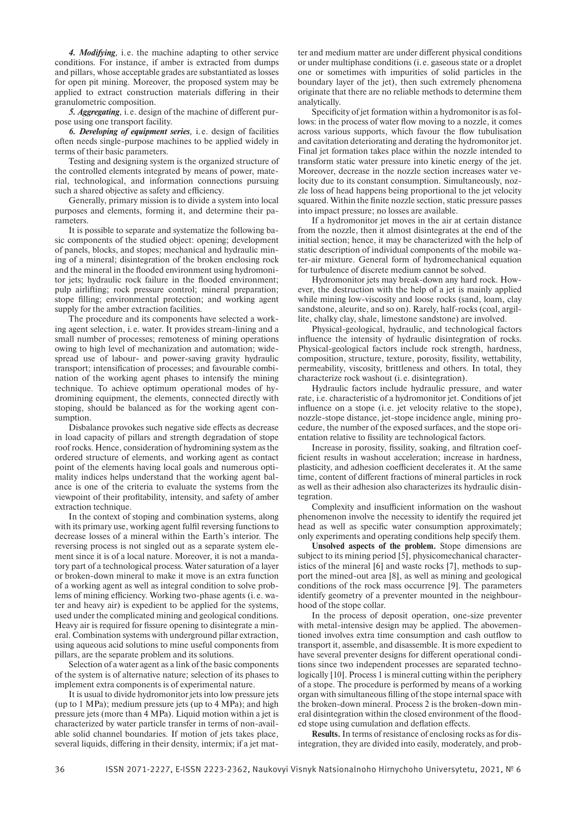*4. Modifying,* i. e. the machine adapting to other service conditions. For instance, if amber is extracted from dumps and pillars, whose acceptable grades are substantiated as losses for open pit mining. Moreover, the proposed system may be applied to extract construction materials differing in their granulometric composition.

5. Aggregating, i.e. design of the machine of different purpose using one transport facility.

*6. Developing of equipment series,* i. e. design of facilities often needs single-purpose machines to be applied widely in terms of their basic parameters.

Testing and designing system is the organized structure of the controlled elements integrated by means of power, material, technological, and information connections pursuing such a shared objective as safety and efficiency.

Generally, primary mission is to divide a system into local purposes and elements, forming it, and determine their parameters.

It is possible to separate and systematize the following basic components of the studied object: opening; development of panels, blocks, and stopes; mechanical and hydraulic mining of a mineral; disintegration of the broken enclosing rock and the mineral in the flooded environment using hydromonitor jets; hydraulic rock failure in the flooded environment; pulp airlifting; rock pressure control; mineral preparation; stope filling; environmental protection; and working agent supply for the amber extraction facilities.

The procedure and its components have selected a working agent selection, i. e. water. It provides stream-lining and a small number of processes; remoteness of mining operations owing to high level of mechanization and automation; widespread use of labour- and power-saving gravity hydraulic transport; intensification of processes; and favourable combination of the working agent phases to intensify the mining technique. To achieve optimum operational modes of hydromining equipment, the elements, connected directly with stoping, should be balanced as for the working agent consumption.

Disbalance provokes such negative side effects as decrease in load capacity of pillars and strength degradation of stope roof rocks. Hence, consideration of hydromining system as the ordered structure of elements, and working agent as contact point of the elements having local goals and numerous optimality indices helps understand that the working agent balance is one of the criteria to evaluate the systems from the viewpoint of their profitability, intensity, and safety of amber extraction technique.

In the context of stoping and combination systems, along with its primary use, working agent fulfil reversing functions to decrease losses of a mineral within the Earth's interior. The reversing process is not singled out as a separate system element since it is of a local nature. Moreover, it is not a mandatory part of a technological process. Water saturation of a layer or broken-down mineral to make it move is an extra function of a working agent as well as integral condition to solve problems of mining efficiency. Working two-phase agents (i.e. water and heavy air) is expedient to be applied for the systems, used under the complicated mining and geological conditions. Heavy air is required for fissure opening to disintegrate a mineral. Combination systems with underground pillar extraction, using aqueous acid solutions to mine useful components from pillars, are the separate problem and its solutions.

Selection of a water agent as a link of the basic components of the system is of alternative nature; selection of its phases to implement extra components is of experimental nature.

It is usual to divide hydromonitor jets into low pressure jets (up to 1 MPa); medium pressure jets (up to 4 MPa); and high pressure jets (more than 4 MPa). Liquid motion within a jet is characterized by water particle transfer in terms of non-available solid channel boundaries. If motion of jets takes place, several liquids, differing in their density, intermix; if a jet mat-

ter and medium matter are under different physical conditions or under multiphase conditions (i. e. gaseous state or a droplet one or sometimes with impurities of solid particles in the boundary layer of the jet), then such extremely phenomena originate that there are no reliable methods to determine them analytically.

Specificity of jet formation within a hydromonitor is as follows: in the process of water flow moving to a nozzle, it comes across various supports, which favour the flow tubulisation and cavitation deteriorating and derating the hydromonitor jet. Final jet formation takes place within the nozzle intended to transform static water pressure into kinetic energy of the jet. Moreover, decrease in the nozzle section increases water velocity due to its constant consumption. Simultaneously, nozzle loss of head happens being proportional to the jet velocity squared. Within the finite nozzle section, static pressure passes into impact pressure; no losses are available.

If a hydromonitor jet moves in the air at certain distance from the nozzle, then it almost disintegrates at the end of the initial section; hence, it may be characterized with the help of static description of individual components of the mobile water-air mixture. General form of hydromechanical equation for turbulence of discrete medium cannot be solved.

Hydromonitor jets may break-down any hard rock. However, the destruction with the help of a jet is mainly applied while mining low-viscosity and loose rocks (sand, loam, clay sandstone, aleurite, and so on). Rarely, half-rocks (coal, argillite, chalky clay, shale, limestone sandstone) are involved.

Physical-geological, hydraulic, and technological factors influence the intensity of hydraulic disintegration of rocks. Physical-geological factors include rock strength, hardness, composition, structure, texture, porosity, fissility, wettability, permeability, viscosity, brittleness and others. In total, they characterize rock washout (i. e. disintegration).

Hydraulic factors include hydraulic pressure, and water rate, i.e. characteristic of a hydromonitor jet. Conditions of jet influence on a stope (i.e. jet velocity relative to the stope), nozzle-stope distance, jet-stope incidence angle, mining procedure, the number of the exposed surfaces, and the stope orientation relative to fissility are technological factors.

Increase in porosity, fissility, soaking, and filtration coefficient results in washout acceleration; increase in hardness, plasticity, and adhesion coefficient decelerates it. At the same time, content of different fractions of mineral particles in rock as well as their adhesion also characterizes its hydraulic disintegration.

Complexity and insufficient information on the washout phenomenon involve the necessity to identify the required jet head as well as specific water consumption approximately; only experiments and operating conditions help specify them.

**Unsolved aspects of the problem.** Stope dimensions are subject to its mining period [5], physicomechanical characteristics of the mineral [6] and waste rocks [7], methods to support the mined-out area [8], as well as mining and geological conditions of the rock mass occurrence [9]. The parameters identify geometry of a preventer mounted in the neighbourhood of the stope collar.

In the process of deposit operation, one-size preventer with metal-intensive design may be applied. The abovementioned involves extra time consumption and cash outflow to transport it, assemble, and disassemble. It is more expedient to have several preventer designs for different operational conditions since two independent processes are separated technologically [10]. Process 1 is mineral cutting within the periphery of a stope. The procedure is performed by means of a working organ with simultaneous filling of the stope internal space with the broken-down mineral. Process 2 is the broken-down mineral disintegration within the closed environment of the flooded stope using cumulation and deflation effects.

**Results.** In terms of resistance of enclosing rocks as for disintegration, they are divided into easily, moderately, and prob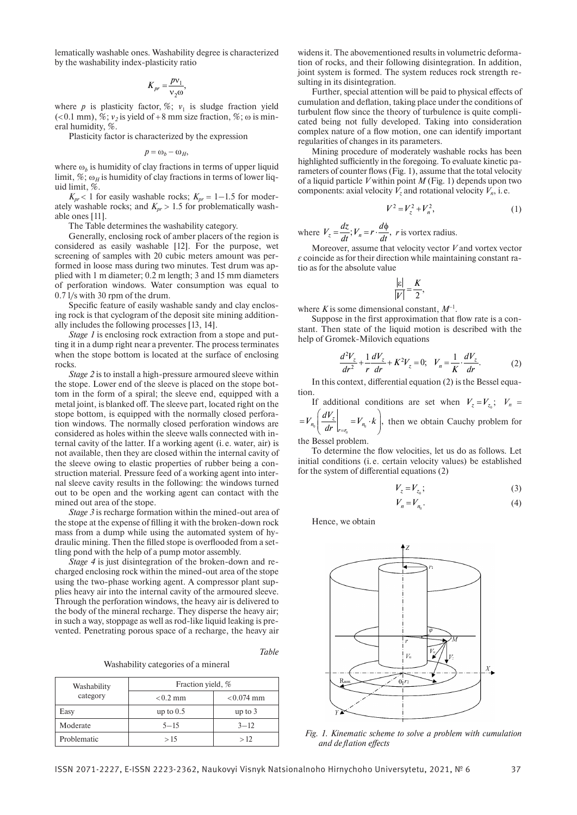lematically washable ones. Washability degree is characterized by the washability index-plasticity ratio

$$
K_{pr} = \frac{p v_1}{v_2 \omega},
$$

where *p* is plasticity factor,  $\%$ ;  $v_1$  is sludge fraction yield ( $< 0.1$  mm), %;  $v_2$  is yield of  $+ 8$  mm size fraction, %;  $\omega$  is mineral humidity, %.

Plasticity factor is characterized by the expression

$$
p = \omega_b - \omega_H,
$$

where  $\omega_b$  is humidity of clay fractions in terms of upper liquid limit,  $\%$ ;  $\omega_H$  is humidity of clay fractions in terms of lower liquid limit, %.

 $K_{pr}$  < 1 for easily washable rocks;  $K_{pr}$  = 1–1.5 for moderately washable rocks; and  $K_{pr}$  > 1.5 for problematically washable ones [11].

The Table determines the washability category.

Generally, enclosing rock of amber placers of the region is considered as easily washable [12]. For the purpose, wet screening of samples with 20 cubic meters amount was performed in loose mass during two minutes. Test drum was applied with 1 m diameter; 0.2 m length; 3 and 15 mm diameters of perforation windows. Water consumption was equal to 0.7 l/s with 30 rpm of the drum.

Specific feature of easily washable sandy and clay enclosing rock is that cyclogram of the deposit site mining additionally includes the following processes [13, 14].

*Stage 1* is enclosing rock extraction from a stope and putting it in a dump right near a preventer. The process terminates when the stope bottom is located at the surface of enclosing rocks.

*Stage 2* is to install a high-pressure armoured sleeve within the stope. Lower end of the sleeve is placed on the stope bottom in the form of a spiral; the sleeve end, equipped with a metal joint, is blanked off. The sleeve part, located right on the stope bottom, is equipped with the normally closed perforation windows. The normally closed perforation windows are considered as holes within the sleeve walls connected with internal cavity of the latter. If a working agent (i. e. water, air) is not available, then they are closed within the internal cavity of the sleeve owing to elastic properties of rubber being a construction material. Pressure feed of a working agent into internal sleeve cavity results in the following: the windows turned out to be open and the working agent can contact with the mined out area of the stope.

*Stage 3* is recharge formation within the mined-out area of the stope at the expense of filling it with the broken-down rock mass from a dump while using the automated system of hydraulic mining. Then the filled stope is overflooded from a settling pond with the help of a pump motor assembly.

*Stage 4* is just disintegration of the broken-down and recharged enclosing rock within the mined-out area of the stope using the two-phase working agent. A compressor plant supplies heavy air into the internal cavity of the armoured sleeve. Through the perforation windows, the heavy air is delivered to the body of the mineral recharge. They disperse the heavy air; in such a way, stoppage as well as rod-like liquid leaking is prevented. Penetrating porous space of a recharge, the heavy air

*Table*

Washability categories of a mineral

| Washability<br>category | Fraction yield, % |              |
|-------------------------|-------------------|--------------|
|                         | $< 0.2$ mm        | $< 0.074$ mm |
| Easy                    | up to $0.5$       | up to $3$    |
| Moderate                | $5 - 15$          | $3 - 12$     |
| Problematic             | >15               | >12          |

widens it. The abovementioned results in volumetric deformation of rocks, and their following disintegration. In addition, joint system is formed. The system reduces rock strength resulting in its disintegration.

Further, special attention will be paid to physical effects of cumulation and deflation, taking place under the conditions of turbulent flow since the theory of turbulence is quite complicated being not fully developed. Taking into consideration complex nature of a flow motion, one can identify important regularities of changes in its parameters.

Mining procedure of moderately washable rocks has been highlighted sufficiently in the foregoing. To evaluate kinetic parameters of counter flows (Fig. 1), assume that the total velocity of a liquid particle *V* within point *М* (Fig. 1) depends upon two components: axial velocity  $V_z$  and rotational velocity  $V_n$ , i.e.

$$
V^2 = V_z^2 + V_n^2,\tag{1}
$$

where  $V_z = \frac{dz}{dt}$ ;  $V_n = r \cdot \frac{d\phi}{dt}$ , *r* is vortex radius.

Moreover, assume that velocity vector *V* and vortex vector *ε* coincide as for their direction while maintaining constant ratio as for the absolute value

$$
\frac{|\varepsilon|}{|V|} = \frac{K}{2},
$$

where K is some dimensional constant,  $M^{-1}$ .

Suppose in the first approximation that flow rate is a constant. Then state of the liquid motion is described with the help of Gromek-Milovich equations

$$
\frac{d^2V_z}{dr^2} + \frac{1}{r}\frac{dV_z}{dr} + K^2V_z = 0; \quad V_n = \frac{1}{K} \cdot \frac{dV_z}{dr}.
$$
 (2)

In this context, differential equation (2) is the Bessel equation.

If additional conditions are set when  $V_z = V_{z_0}$ ;  $V_n =$ 

 $\int_0^{t_0}$   $dr$   $\big|_{r=r_0}$   $\big|_{r_0}$  $=V_{n_0}\left(\frac{dV_z}{dr}\bigg|_{r=r_0}=V_{n_0}\cdot k\right),$  $\begin{pmatrix} ar & r=r_0 & r \end{pmatrix}$ then we obtain Cauchy problem for

the Bessel problem.

To determine the flow velocities, let us do as follows. Let initial conditions (i. e. certain velocity values) be established for the system of differential equations (2)

$$
V_z = V_{z_0};\tag{3}
$$

$$
V_n = V_{n_0}.\tag{4}
$$

Hence, we obtain



Fig. 1. Kinematic scheme to solve a problem with cumulation *and deflation effects*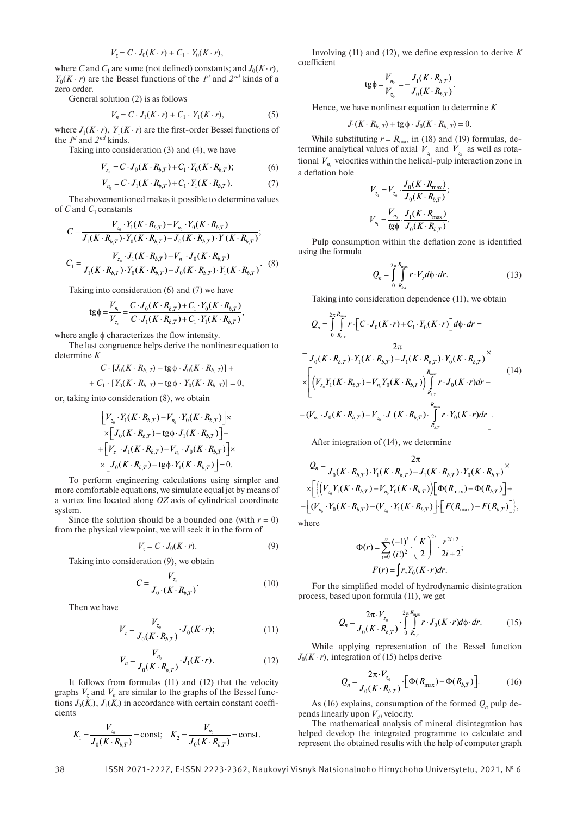$$
V_z = C \cdot J_0(K \cdot r) + C_1 \cdot Y_0(K \cdot r),
$$

where *C* and  $C_1$  are some (not defined) constants; and  $J_0(K \cdot r)$ ,  $Y_0(K \cdot r)$  are the Bessel functions of the  $I^{st}$  and  $2^{nd}$  kinds of a zero order.

General solution (2) is as follows

$$
V_n = C \cdot J_1(K \cdot r) + C_1 \cdot Y_1(K \cdot r), \tag{5}
$$

where  $J_1(K \cdot r)$ ,  $Y_1(K \cdot r)$  are the first-order Bessel functions of the  $I^{st}$  and  $2^{nd}$  kinds.

Taking into consideration (3) and (4), we have

$$
V_{z_0} = C \cdot J_0(K \cdot R_{b,T}) + C_1 \cdot Y_0(K \cdot R_{b,T});\tag{6}
$$

$$
V_{n_0} = C \cdot J_1(K \cdot R_{b,T}) + C_1 \cdot Y_1(K \cdot R_{b,T}). \tag{7}
$$

The abovementioned makes it possible to determine values of *C* and *C*1 constants

$$
C = \frac{V_{z_0} \cdot Y_1(K \cdot R_{b,T}) - V_{n_0} \cdot Y_0(K \cdot R_{b,T})}{J_1(K \cdot R_{b,T}) \cdot Y_0(K \cdot R_{b,T}) - J_0(K \cdot R_{b,T}) \cdot Y_1(K \cdot R_{b,T})};
$$
  

$$
C_1 = \frac{V_{z_0} \cdot J_1(K \cdot R_{b,T}) - V_{n_0} \cdot J_0(K \cdot R_{b,T})}{J_1(K \cdot R_{b,T}) \cdot Y_0(K \cdot R_{b,T}) - J_0(K \cdot R_{b,T}) \cdot Y_1(K \cdot R_{b,T})}.
$$
 (8)

Taking into consideration (6) and (7) we have

$$
\text{tg}\,\phi = \frac{V_{n_0}}{V_{z_0}} = \frac{C \cdot J_0(K \cdot R_{b,T}) + C_1 \cdot Y_0(K \cdot R_{b,T})}{C \cdot J_1(K \cdot R_{b,T}) + C_1 \cdot Y_1(K \cdot R_{b,T})},
$$

where angle  $\phi$  characterizes the flow intensity.

The last congruence helps derive the nonlinear equation to determine *K*

$$
C \cdot [J_0(K \cdot R_{b, T}) - \text{tg}\phi \cdot J_0(K \cdot R_{b, T})] +
$$
  
+  $C_1 \cdot [Y_0(K \cdot R_{b, T}) - \text{tg}\phi \cdot Y_0(K \cdot R_{b, T})] = 0,$ 

or, taking into consideration (8), we obtain

$$
\begin{aligned}\n&\left[V_{z_0} \cdot Y_1(K \cdot R_{b,T}) - V_{n_0} \cdot Y_0(K \cdot R_{b,T})\right] \times \\
&\times \left[J_0(K \cdot R_{b,T}) - \text{tg}\phi \cdot J_1(K \cdot R_{b,T})\right] + \\
&+ \left[V_{z_0} \cdot J_1(K \cdot R_{b,T}) - V_{n_0} \cdot J_0(K \cdot R_{b,T})\right] \times \\
&\times \left[J_0(K \cdot R_{b,T}) - \text{tg}\phi \cdot Y_1(K \cdot R_{b,T})\right] = 0.\n\end{aligned}
$$

To perform engineering calculations using simpler and more comfortable equations, we simulate equal jet by means of a vortex line located along *OZ* axis of cylindrical coordinate system.

Since the solution should be a bounded one (with  $r = 0$ ) from the physical viewpoint, we will seek it in the form of

$$
V_z = C \cdot J_0(K \cdot r). \tag{9}
$$

Taking into consideration (9), we obtain

$$
C = \frac{V_{z_0}}{J_0 \cdot (K \cdot R_{b,T})}.
$$
 (10)

Then we have

$$
V_z = \frac{V_{z_0}}{J_0(K \cdot R_{b,T})} \cdot J_0(K \cdot r); \tag{11}
$$

$$
V_n = \frac{V_{n_0}}{J_0(K \cdot R_{b,T})} \cdot J_1(K \cdot r).
$$
 (12)

It follows from formulas (11) and (12) that the velocity graphs  $V_z$  and  $V_n$  are similar to the graphs of the Bessel functions  $J_0(K_r)$ ,  $J_1(K_r)$  in accordance with certain constant coefficients

$$
K_1 = \frac{V_{z_0}}{J_0(K \cdot R_{b,T})} = \text{const}; \quad K_2 = \frac{V_{n_0}}{J_0(K \cdot R_{b,T})} = \text{const}.
$$

Involving  $(11)$  and  $(12)$ , we define expression to derive *K* coefficient

tg 
$$
\phi = \frac{V_{n_0}}{V_{z_0}} = -\frac{J_1(K \cdot R_{b,T})}{J_0(K \cdot R_{b,T})}
$$
.

Hence, we have nonlinear equation to determine *K*

$$
J_1(K \cdot R_{b,T}) + \operatorname{tg} \phi \cdot J_0(K \cdot R_{b,T}) = 0.
$$

While substituting  $r = R_{\text{max}}$  in (18) and (19) formulas, determine analytical values of axial  $V_{z_1}$  and  $V_{z_2}$  as well as rotational  $V_{n_1}$  velocities within the helical-pulp interaction zone in a deflation hole

$$
V_{z_1} = V_{z_0} \cdot \frac{J_0(K \cdot R_{\text{max}})}{J_0(K \cdot R_{b,T})};
$$
  

$$
V_{n_1} = \frac{V_{n_0}}{tg\phi} \cdot \frac{J_1(K \cdot R_{\text{max}})}{J_0(K \cdot R_{b,T})}.
$$

Pulp consumption within the deflation zone is identified using the formula

$$
Q_n = \int_{0}^{2\pi} \int_{R_{hT}}^{R_{\text{max}}} r \cdot V_z d\phi \cdot dr.
$$
 (13)

Taking into consideration dependence (11), we obtain

$$
Q_{n} = \int_{0}^{2\pi} \int_{R_{b,T}}^{R_{\text{max}}} r \cdot \Big[ C \cdot J_{0}(K \cdot r) + C_{1} \cdot Y_{0}(K \cdot r) \Big] d\phi \cdot dr =
$$
\n
$$
= \frac{2\pi}{J_{0}(K \cdot R_{b,T}) \cdot Y_{1}(K \cdot R_{b,T}) - J_{1}(K \cdot R_{b,T}) \cdot Y_{0}(K \cdot R_{b,T})} \times
$$
\n
$$
\times \Bigg[ \Big( V_{z_{0}} Y_{1}(K \cdot R_{b,T}) - V_{n_{0}} Y_{0}(K \cdot R_{b,T}) \Big) \int_{R_{b,T}}^{R_{\text{max}}} r \cdot J_{0}(K \cdot r) dr +
$$
\n
$$
+ (V_{n_{0}} \cdot J_{0}(K \cdot R_{b,T}) - V_{z_{0}} \cdot J_{1}(K \cdot R_{b,T}) \cdot \int_{R_{b,T}}^{R_{\text{max}}} r \cdot Y_{0}(K \cdot r) dr \Bigg]. \tag{14}
$$

After integration of (14), we determine

$$
Q_{n} = \frac{2\pi}{J_{0}(K \cdot R_{b,T}) \cdot Y_{1}(K \cdot R_{b,T}) - J_{1}(K \cdot R_{b,T}) \cdot Y_{0}(K \cdot R_{b,T})} \times \times \left[ \left\{ \left( V_{z_{0}} Y_{1}(K \cdot R_{b,T}) - V_{n_{0}} Y_{0}(K \cdot R_{b,T}) \right) \left[ \Phi(R_{\max}) - \Phi(R_{b,T}) \right] + \left[ (V_{n_{0}} \cdot Y_{0}(K \cdot R_{b,T}) - (V_{z_{0}} \cdot Y_{1}(K \cdot R_{b,T})) \right] \cdot \left[ F(R_{\max}) - F(R_{b,T}) \right] \right\},
$$
  
where

$$
\Phi(r) = \sum_{i=0}^{\infty} \frac{(-1)^i}{(i!)^2} \cdot \left(\frac{K}{2}\right)^{2i} \cdot \frac{r^{2i+2}}{2i+2};
$$
  

$$
F(r) = \int r, Y_0(K \cdot r) dr.
$$

For the simplified model of hydrodynamic disintegration process, based upon formula (11), we get

$$
Q_n = \frac{2\pi \cdot V_{z_0}}{J_0(K \cdot R_{b,T})} \cdot \int_{0}^{2\pi} \int_{R_{b,T}}^{R_{\text{max}}} r \cdot J_0(K \cdot r) d\phi \cdot dr.
$$
 (15)

While applying representation of the Bessel function  $J_0(K \cdot r)$ , integration of (15) helps derive

$$
Q_n = \frac{2\pi \cdot V_{z_0}}{J_0(K \cdot R_{b,T})} \cdot \left[ \Phi(R_{\text{max}}) - \Phi(R_{b,T}) \right].
$$
 (16)

As (16) explains, consumption of the formed  $Q_n$  pulp depends linearly upon  $V_{z0}$  velocity.

The mathematical analysis of mineral disintegration has helped develop the integrated programme to calculate and represent the obtained results with the help of computer graph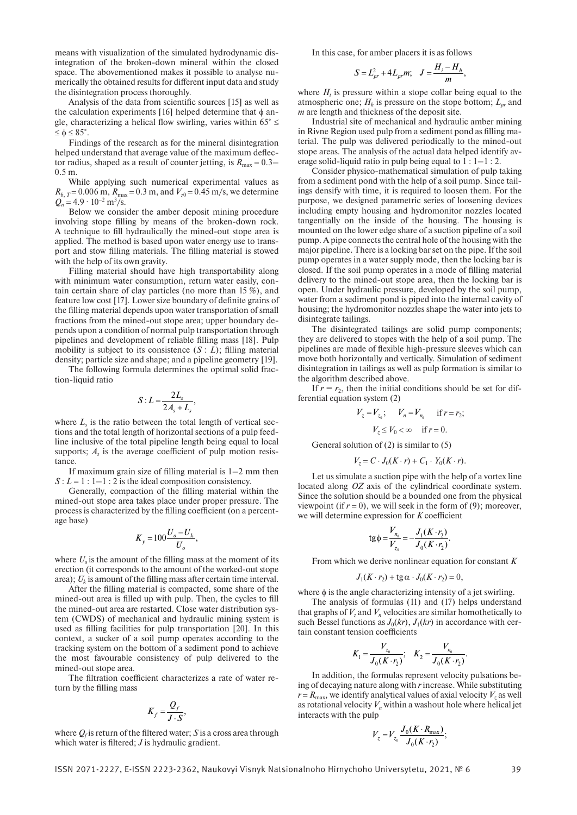means with visualization of the simulated hydrodynamic disintegration of the broken-down mineral within the closed space. The abovementioned makes it possible to analyse numerically the obtained results for different input data and study the disintegration process thoroughly.

Analysis of the data from scientific sources [15] as well as the calculation experiments [16] helped determine that  $\phi$  angle, characterizing a helical flow swirling, varies within 65 $\degree$   $\leq$  $\leq \phi \leq 85^{\circ}$ .

Findings of the research as for the mineral disintegration helped understand that average value of the maximum deflector radius, shaped as a result of counter jetting, is  $R_{\text{max}} = 0.3-$ 0.5 m.

While applying such numerical experimental values as  $R_{b, T} = 0.006$  m,  $R_{\text{max}} = 0.3$  m, and  $V_{z0} = 0.45$  m/s, we determine  $Q_n = 4.9 \cdot 10^{-2}$  m<sup>3</sup>/s.

Below we consider the amber deposit mining procedure involving stope filling by means of the broken-down rock. A technique to fill hydraulically the mined-out stope area is applied. The method is based upon water energy use to transport and stow filling materials. The filling material is stowed with the help of its own gravity.

Filling material should have high transportability along with minimum water consumption, return water easily, contain certain share of clay particles (no more than 15 %), and feature low cost [17]. Lower size boundary of definite grains of the filling material depends upon water transportation of small fractions from the mined-out stope area; upper boundary depends upon a condition of normal pulp transportation through pipelines and development of reliable filling mass [18]. Pulp mobility is subject to its consistence  $(S: L)$ ; filling material density; particle size and shape; and a pipeline geometry [19].

The following formula determines the optimal solid fraction-liquid ratio

$$
S: L = \frac{2L_s}{2A_s + L_s},
$$

where  $L<sub>s</sub>$  is the ratio between the total length of vertical sections and the total length of horizontal sections of a pulp feedline inclusive of the total pipeline length being equal to local supports; *A<sub>s</sub>* is the average coefficient of pulp motion resistance.

If maximum grain size of filling material is  $1-2$  mm then  $S: L = 1: 1-1: 2$  is the ideal composition consistency.

Generally, compaction of the filling material within the mined-out stope area takes place under proper pressure. The process is characterized by the filling coefficient (on a percentage base)

$$
K_y = 100 \frac{U_o - U_k}{U_o},
$$

where  $U<sub>o</sub>$  is the amount of the filling mass at the moment of its erection (it corresponds to the amount of the worked-out stope area);  $U_k$  is amount of the filling mass after certain time interval.

After the filling material is compacted, some share of the mined-out area is filled up with pulp. Then, the cycles to fill the mined-out area are restarted. Close water distribution system (CWDS) of mechanical and hydraulic mining system is used as filling facilities for pulp transportation [20]. In this context, a sucker of a soil pump operates according to the tracking system on the bottom of a sediment pond to achieve the most favourable consistency of pulp delivered to the mined-out stope area.

The filtration coefficient characterizes a rate of water return by the filling mass

$$
K_f = \frac{Q_f}{J \cdot S},
$$

where  $Q_f$  is return of the filtered water;  $S$  is a cross area through which water is filtered; *J* is hydraulic gradient.

In this case, for amber placers it is as follows

$$
S=L_{pr}^2+4L_{pr}m; \quad J=\frac{H_i-H_h}{m},
$$

where  $H_i$  is pressure within a stope collar being equal to the atmospheric one;  $H_h$  is pressure on the stope bottom;  $L_{pr}$  and *m* are length and thickness of the deposit site.

Industrial site of mechanical and hydraulic amber mining in Rivne Region used pulp from a sediment pond as filling material. The pulp was delivered periodically to the mined-out stope areas. The analysis of the actual data helped identify average solid-liquid ratio in pulp being equal to 1 : 1–1 : 2.

Consider physico-mathematical simulation of pulp taking from a sediment pond with the help of a soil pump. Since tailings densify with time, it is required to loosen them. For the purpose, we designed parametric series of loosening devices including empty housing and hydromonitor nozzles located tangentially on the inside of the housing. The housing is mounted on the lower edge share of a suction pipeline of a soil pump. A pipe connects the central hole of the housing with the major pipeline. There is a locking bar set on the pipe. If the soil pump operates in a water supply mode, then the locking bar is closed. If the soil pump operates in a mode of filling material delivery to the mined-out stope area, then the locking bar is open. Under hydraulic pressure, developed by the soil pump, water from a sediment pond is piped into the internal cavity of housing; the hydromonitor nozzles shape the water into jets to disintegrate tailings.

The disintegrated tailings are solid pump components; they are delivered to stopes with the help of a soil pump. The pipelines are made of flexible high-pressure sleeves which can move both horizontally and vertically. Simulation of sediment disintegration in tailings as well as pulp formation is similar to the algorithm described above.

If  $r = r_2$ , then the initial conditions should be set for differential equation system (2)

$$
V_z = V_{z_0}; \t V_n = V_{n_0} \t if r = r_2;
$$
  

$$
V_z \le V_0 < \infty \t if r = 0.
$$

General solution of (2) is similar to (5)

$$
V_z = C \cdot J_0(K \cdot r) + C_1 \cdot Y_0(K \cdot r).
$$

Let us simulate a suction pipe with the help of a vortex line located along *OZ* axis of the cylindrical coordinate system. Since the solution should be a bounded one from the physical viewpoint (if  $r = 0$ ), we will seek in the form of (9); moreover, we will determine expression for *K* coefficient

$$
tg\phi = \frac{V_{n_0}}{V_{z_0}} = -\frac{J_1(K \cdot r_2)}{J_0(K \cdot r_2)}.
$$

From which we derive nonlinear equation for constant *K*

$$
J_1(K \cdot r_2) + \text{tg}\,\alpha \cdot J_0(K \cdot r_2) = 0,
$$

where  $\phi$  is the angle characterizing intensity of a jet swirling. The analysis of formulas (11) and (17) helps understand

that graphs of  $V_z$  and  $V_n$  velocities are similar homothetically to such Bessel functions as  $J_0(kr)$ ,  $J_1(kr)$  in accordance with certain constant tension coefficients

$$
K_1 = \frac{V_{z_0}}{J_0(K \cdot r_2)}; \quad K_2 = \frac{V_{n_0}}{J_0(K \cdot r_2)}.
$$

In addition, the formulas represent velocity pulsations being of decaying nature along with *r* increase. While substituting  $r = R_{\text{max}}$ , we identify analytical values of axial velocity *V<sub>z</sub>* as well as rotational velocity  $V_n$  within a washout hole where helical jet interacts with the pulp

$$
V_z = V_{z_0} \frac{J_0(K \cdot R_{\text{max}})}{J_0(K \cdot r_2)};
$$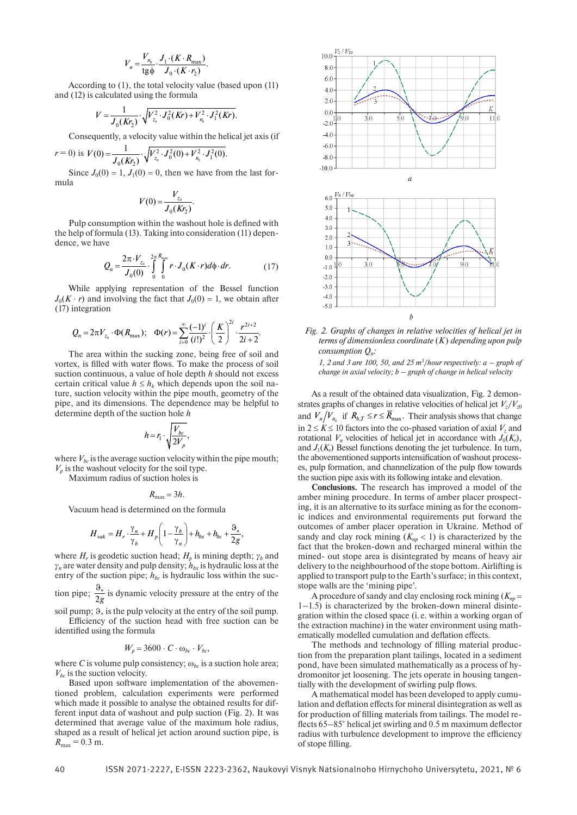$$
V_n = \frac{V_{n_0}}{\text{tg}\phi} \cdot \frac{J_1 \cdot (K \cdot R_{\text{max}})}{J_0 \cdot (K \cdot r_2)}.
$$

According to (1), the total velocity value (based upon (11) and (12) is calculated using the formula

$$
V = \frac{1}{J_0(Kr_2)} \cdot \sqrt{V_{z_0}^2 \cdot J_0^2(Kr) + V_{n_0}^2 \cdot J_1^2(Kr)}.
$$

Consequently, a velocity value within the helical jet axis (if

$$
r = 0) \text{ is } V(0) = \frac{1}{J_0(K_2)} \sqrt{V_{z_0}^2 \cdot J_0^2(0) + V_{n_0}^2 \cdot J_1^2(0)}.
$$

Since  $J_0(0) = 1$ ,  $J_1(0) = 0$ , then we have from the last formula

$$
V(0) = \frac{V_{z_0}}{J_0(K_{r_2})}.
$$

Pulp consumption within the washout hole is defined with the help of formula (13). Taking into consideration (11) dependence, we have

$$
Q_n = \frac{2\pi \cdot V_{z_0}}{J_0(0)} \cdot \int\limits_0^{2\pi R_{\text{max}}}{\int\limits_0^{2\pi} r \cdot J_0(K \cdot r) d\phi \cdot dr}.
$$
 (17)

While applying representation of the Bessel function  $J_0(K \cdot r)$  and involving the fact that  $J_0(0) = 1$ , we obtain after (17) integration

$$
Q_n = 2\pi V_{z_0} \cdot \Phi(R_{\text{max}}); \quad \Phi(r) = \sum_{i=0}^{\infty} \frac{(-1)^i}{(i!)^2} \cdot \left(\frac{K}{2}\right)^{2i} \cdot \frac{r^{2i+2}}{2i+2}.
$$

The area within the sucking zone, being free of soil and vortex, is filled with water flows. To make the process of soil suction continuous, a value of hole depth *h* should not excess certain critical value  $h \leq h_k$  which depends upon the soil nature, suction velocity within the pipe mouth, geometry of the pipe, and its dimensions. The dependence may be helpful to determine depth of the suction hole *h*

$$
h = r_1 \cdot \sqrt{\frac{V_{bc}}{2V_p}},
$$

where  $V_{bc}$  is the average suction velocity within the pipe mouth;  $V_p$  is the washout velocity for the soil type.

Maximum radius of suction holes is

$$
R_{\max} = 3h.
$$

Vacuum head is determined on the formula

$$
H_{\text{vak}} = H_r \cdot \frac{\gamma_n}{\gamma_b} + H_p \left( 1 - \frac{\gamma_b}{\gamma_n} \right) + h_{bx} + h_{bc} + \frac{\vartheta_*}{2g},
$$

where  $H_r$  is geodetic suction head;  $H_p$  is mining depth;  $\gamma_b$  and  $\gamma_n$  are water density and pulp density;  $h_{bx}$  is hydraulic loss at the entry of the suction pipe;  $h_{bc}$  is hydraulic loss within the suc-

tion pipe;  $\frac{9}{2g}$  is dynamic velocity pressure at the entry of the

soil pump;  $\vartheta_*$  is the pulp velocity at the entry of the soil pump. Efficiency of the suction head with free suction can be identified using the formula

$$
W_p = 3600 \cdot C \cdot \omega_{bc} \cdot V_{bc},
$$

where *C* is volume pulp consistency;  $\omega_{bc}$  is a suction hole area;  $V_{bc}$  is the suction velocity.

Based upon software implementation of the abovementioned problem, calculation experiments were performed which made it possible to analyse the obtained results for different input data of washout and pulp suction (Fig. 2). It was determined that average value of the maximum hole radius, shaped as a result of helical jet action around suction pipe, is  $R_{\text{max}} = 0.3 \text{ m}.$ 





*1, 2 and 3 are 100, 50, and 25 m*<sup>3</sup> /*hour respectively: а – graph of change in axial velocity; b – graph of change in helical velocity*

As a result of the obtained data visualization, Fig. 2 demonstrates graphs of changes in relative velocities of helical jet  $V_z/V_{z0}$ and  $V_n / V_{n_0}$  if  $R_{b,T} \le r \le R_{\text{max}}$ . Their analysis shows that change in  $2 \le K \le 10$  factors into the co-phased variation of axial  $V_z$  and rotational  $V_n$  velocities of helical jet in accordance with  $J_0(K_n)$ , and  $J_1(K_r)$  Bessel functions denoting the jet turbulence. In turn, the abovementioned supports intensification of washout processes, pulp formation, and channelization of the pulp flow towards the suction pipe axis with its following intake and elevation.

**Conclusions.** The research has improved a model of the amber mining procedure. In terms of amber placer prospecting, it is an alternative to its surface mining as for the economic indices and environmental requirements put forward the outcomes of amber placer operation in Ukraine. Method of sandy and clay rock mining  $(K_{np} < 1)$  is characterized by the fact that the broken-down and recharged mineral within the mined- out stope area is disintegrated by means of heavy air delivery to the neighbourhood of the stope bottom. Airlifting is applied to transport pulp to the Earth's surface; in this context, stope walls are the 'mining pipe'.

A procedure of sandy and clay enclosing rock mining  $(K_{np} =$  $1-1.5$ ) is characterized by the broken-down mineral disintegration within the closed space (i. e. within a working organ of the extraction machine) in the water environment using mathematically modelled cumulation and deflation effects.

The methods and technology of filling material production from the preparation plant tailings, located in a sediment pond, have been simulated mathematically as a process of hydromonitor jet loosening. The jets operate in housing tangentially with the development of swirling pulp flows.

A mathematical model has been developed to apply cumulation and deflation effects for mineral disintegration as well as for production of filling materials from tailings. The model reflects 65–85° helical jet swirling and 0.5 m maximum deflector radius with turbulence development to improve the efficiency of stope filling.